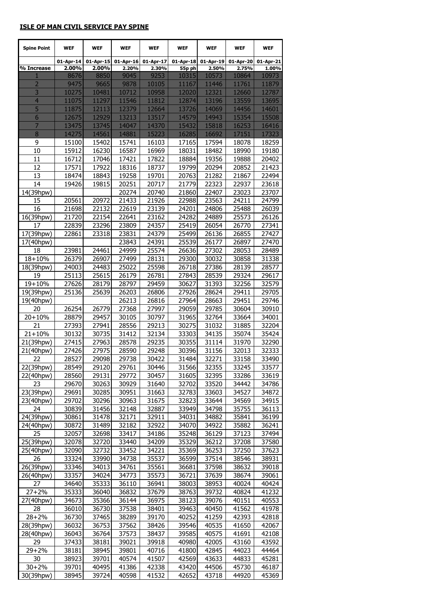## **ISLE OF MAN CIVIL SERVICE PAY SPINE**

| <b>Spine Point</b>     | <b>WEF</b>     | <b>WEF</b>     | <b>WEF</b>     | <b>WEF</b>     | <b>WEF</b>      | <b>WEF</b>     | <b>WEF</b>     | WEF            |
|------------------------|----------------|----------------|----------------|----------------|-----------------|----------------|----------------|----------------|
|                        | 01-Apr-14      | 01-Apr-15      | 01-Apr-16      | 01-Apr-17      | 01-Apr-18       | 01-Apr-19      | 01-Apr-20      | 01-Apr-21      |
| % Increase<br>1        | 2.00%<br>8676  | 2.00%<br>8850  | 2.20%<br>9045  | 2.30%<br>9253  | 55p ph<br>10315 | 2.50%<br>10573 | 2.75%<br>10864 | 1.00%<br>10973 |
| $\overline{2}$         | 9475           | 9665           | 9878           | 10105          | 11167           | 11446          | 11761          | 11879          |
| 3                      | 10275          | 10481          | 10712          | 10958          | 12020           | 12321          | 12660          | 12787          |
| $\overline{4}$         | 11075          | 11297          | 11546          | 11812          | 12874           | 13196          | 13559          | 13695          |
| 5                      | 11875          | 12113          | 12379          | 12664          | 13726           | 14069          | 14456          | 14601          |
| $6\phantom{1}6$        | 12675          | 12929          | 13213          | 13517          | 14579           | 14943          | 15354          | 15508          |
| 7                      | 13475          | 13745          | 14047          | 14370          | 15432           | 15818          | 16253          | 16416          |
| 8                      | 14275          | 14561          | 14881          | 15223          | 16285           | 16692          | 17151          | 17323          |
| 9                      | 15100          | 15402          | 15741          | 16103          | 17165           | 17594          | 18078          | 18259          |
| 10<br>11               | 15912<br>16712 | 16230<br>17046 | 16587<br>17421 | 16969<br>17822 | 18031<br>18884  | 18482<br>19356 | 18990<br>19888 | 19180<br>20402 |
| 12                     | 17571          | 17922          | 18316          | 18737          | 19799           | 20294          | 20852          | 21423          |
| 13                     | 18474          | 18843          | 19258          | 19701          | 20763           | 21282          | 21867          | 22494          |
| 14                     | 19426          | 19815          | 20251          | 20717          | 21779           | 22323          | 22937          | 23618          |
| 14(39hpw)              |                |                | 20274          | 20740          | 21860           | 22407          | 23023          | 23707          |
| 15                     | 20561          | 20972          | 21433          | 21926          | 22988           | 23563          | 24211          | 24799          |
| 16                     | 21698          | 22132          | 22619          | 23139          | 24201           | 24806          | 25488          | 26039          |
| 16(39hpw)              | 21720          | 22154          | 22641          | 23162          | 24282           | 24889          | 25573          | 26126          |
| 17                     | 22839          | 23296          | 23809          | 24357          | 25419           | 26054          | 26770          | 27341          |
| 17(39hpw)              | 22861          | 23318          | 23831          | 24379          | 25499           | 26136          | 26855          | 27427          |
| 17(40hpw)<br>18        | 23981          | 24461          | 23843<br>24999 | 24391<br>25574 | 25539<br>26636  | 26177<br>27302 | 26897<br>28053 | 27470          |
| $18 + 10%$             | 26379          | 26907          | 27499          | 28131          | 29300           | 30032          | 30858          | 28489<br>31338 |
| 18(39hpw)              | 24003          | 24483          | 25022          | 25598          | 26718           | 27386          | 28139          | 28577          |
| 19                     | 25113          | 25615          | 26179          | 26781          | 27843           | 28539          | 29324          | 29617          |
| 19+10%                 | 27626          | 28179          | 28797          | 29459          | 30627           | 31393          | 32256          | 32579          |
| 19(39hpw)              | 25136          | 25639          | 26203          | 26806          | 27926           | 28624          | 29411          | 29705          |
| 19(40hpw)              |                |                | 26213          | 26816          | 27964           | 28663          | 29451          | 29746          |
| 20                     | 26254          | 26779          | 27368          | 27997          | 29059           | 29785          | 30604          | 30910          |
| $20 + 10%$             | 28879          | 29457          | 30105          | 30797          | 31965           | 32764          | 33664          | 34001          |
| 21                     | 27393          | 27941          | 28556          | 29213          | 30275           | 31032          | 31885          | 32204          |
| $21 + 10%$             | 30132          | 30735          | 31412          | 32134          | 33303           | 34135          | 35074          | 35424          |
| 21(39hpw)<br>21(40hpw) | 27415<br>27426 | 27963<br>27975 | 28578<br>28590 | 29235<br>29248 | 30355<br>30396  | 31114<br>31156 | 31970<br>32013 | 32290<br>32333 |
| 22                     | 28527          | 29098          | 29738          | 30422          | 31484           | 32271          | 33158          | 33490          |
| 22(39hpw)              | 28549          | 29120          | 29761          | 30446          | 31566           | 32355          | 33245          | 33577          |
| 22(40hpw)              | 28560          | 29131          | 29772          | 30457          | 31605           | 32395          | 33286          | 33619          |
| 23                     | 29670          | 30263          | 30929          | 31640          | 32702           | 33520          | 34442          | 34786          |
| 23(39hpw)              | 29691          | 30285          | 30951          | 31663          | 32783           | 33603          | 34527          | 34872          |
| 23(40hpw)              | 29702          | 30296          | 30963          | 31675          | 32823           | 33644          | 34569          | 34915          |
| 24                     | 30839          | 31456          | 32148          | 32887          | 33949           | 34798          | 35755          | 36113          |
| 24(39hpw)              | 30861          | 31478          | 32171          | 32911          | 34031           | 34882          | 35841          | 36199          |
| 24(40hpw)              | 30872          | 31489          | 32182          | 32922          | 34070           | 34922          | 35882          | 36241          |
| 25<br>25(39hpw)        | 32057          | 32698          | 33417<br>33440 | 34186<br>34209 | 35248           | 36129<br>36212 | 37123          | 37494          |
| 25(40hpw)              | 32078<br>32090 | 32720<br>32732 | 33452          | 34221          | 35329<br>35369  | 36253          | 37208<br>37250 | 37580<br>37623 |
| 26                     | 33324          | 33990          | 34738          | 35537          | 36599           | 37514          | 38546          | 38931          |
| 26(39hpw)              | 33346          | 34013          | 34761          | 35561          | 36681           | 37598          | 38632          | 39018          |
| 26(40hpw)              | 33357          | 34024          | 34773          | 35573          | 36721           | 37639          | 38674          | 39061          |
| 27                     | 34640          | 35333          | 36110          | 36941          | 38003           | 38953          | 40024          | 40424          |
| $27 + 2%$              | 35333          | 36040          | 36832          | 37679          | 38763           | 39732          | 40824          | 41232          |
| 27(40hpw)              | 34673          | 35366          | 36144          | 36975          | 38123           | 39076          | 40151          | 40553          |
| 28                     | 36010          | 36730          | 37538          | 38401          | 39463           | 40450          | 41562          | 41978          |
| $28 + 2%$              | 36730          | 37465          | 38289          | 39170          | 40252           | 41259          | 42393          | 42818          |
| 28(39hpw)              | 36032          | 36753          | 37562          | 38426          | 39546           | 40535          | 41650          | 42067          |
| 28(40hpw)<br>29        | 36043<br>37433 | 36764<br>38181 | 37573<br>39021 | 38437<br>39918 | 39585<br>40980  | 40575<br>42005 | 41691<br>43160 | 42108<br>43592 |
| $29 + 2%$              | 38181          | 38945          | 39801          | 40716          | 41800           | 42845          | 44023          | 44464          |
| 30                     | 38923          | 39701          | 40574          | 41507          | 42569           | 43633          | 44833          | 45281          |
| $30 + 2%$              | 39701          | 40495          | 41386          | 42338          | 43420           | 44506          | 45730          | 46187          |
| 30(39hpw)              | 38945          | 39724          | 40598          | 41532          | 42652           | 43718          | 44920          | 45369          |